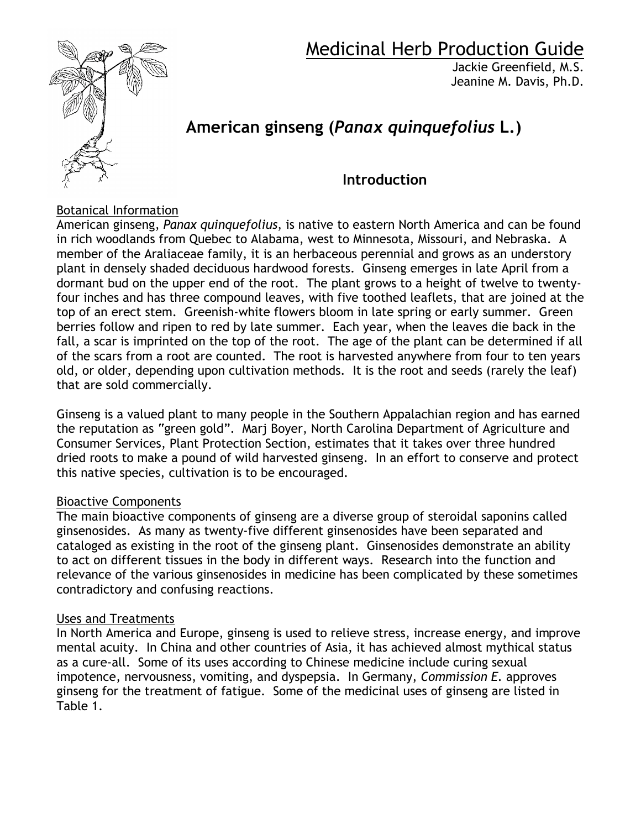

# Medicinal Herb Production Guide

Jackie Greenfield, M.S. Jeanine M. Davis, Ph.D.

# **American ginseng (***Panax quinquefolius* **L.)**

### **Introduction**

#### Botanical Information

American ginseng, *Panax quinquefolius*, is native to eastern North America and can be found in rich woodlands from Quebec to Alabama, west to Minnesota, Missouri, and Nebraska. A member of the Araliaceae family, it is an herbaceous perennial and grows as an understory plant in densely shaded deciduous hardwood forests. Ginseng emerges in late April from a dormant bud on the upper end of the root. The plant grows to a height of twelve to twentyfour inches and has three compound leaves, with five toothed leaflets, that are joined at the top of an erect stem. Greenish-white flowers bloom in late spring or early summer. Green berries follow and ripen to red by late summer. Each year, when the leaves die back in the fall, a scar is imprinted on the top of the root. The age of the plant can be determined if all of the scars from a root are counted. The root is harvested anywhere from four to ten years old, or older, depending upon cultivation methods. It is the root and seeds (rarely the leaf) that are sold commercially.

Ginseng is a valued plant to many people in the Southern Appalachian region and has earned the reputation as "green gold". Marj Boyer, North Carolina Department of Agriculture and Consumer Services, Plant Protection Section, estimates that it takes over three hundred dried roots to make a pound of wild harvested ginseng. In an effort to conserve and protect this native species, cultivation is to be encouraged.

#### Bioactive Components

The main bioactive components of ginseng are a diverse group of steroidal saponins called ginsenosides. As many as twenty-five different ginsenosides have been separated and cataloged as existing in the root of the ginseng plant. Ginsenosides demonstrate an ability to act on different tissues in the body in different ways. Research into the function and relevance of the various ginsenosides in medicine has been complicated by these sometimes contradictory and confusing reactions.

#### Uses and Treatments

In North America and Europe, ginseng is used to relieve stress, increase energy, and improve mental acuity. In China and other countries of Asia, it has achieved almost mythical status as a cure-all. Some of its uses according to Chinese medicine include curing sexual impotence, nervousness, vomiting, and dyspepsia. In Germany, *Commission E.* approves ginseng for the treatment of fatigue. Some of the medicinal uses of ginseng are listed in Table 1.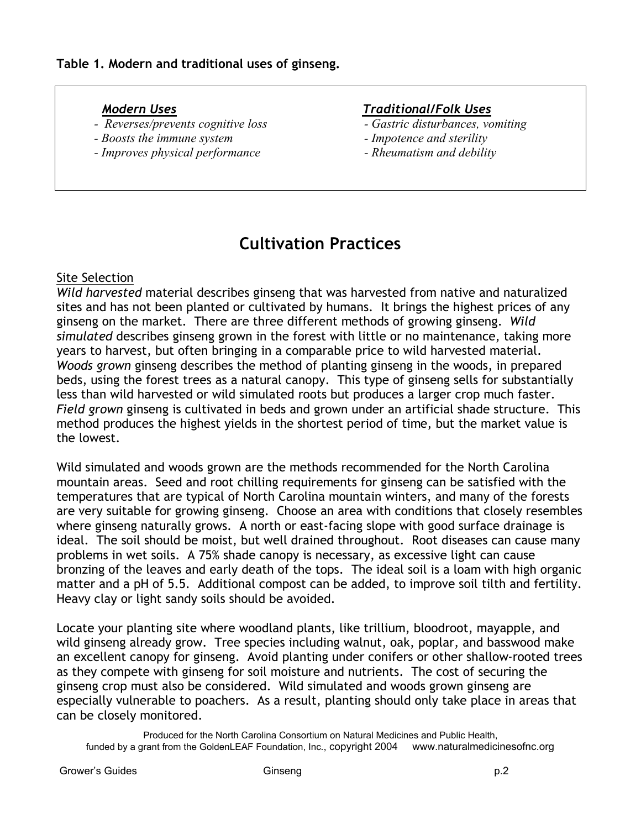- *Reverses/prevents cognitive loss Gastric disturbances, vomiting*
- *Boosts the immune system*  $\blacksquare$
- *Improves physical performance Rheumatism and debility*

#### *Modern Uses Traditional/Folk Uses*

- 
- 
- 

## **Cultivation Practices**

#### Site Selection

*Wild harvested* material describes ginseng that was harvested from native and naturalized sites and has not been planted or cultivated by humans. It brings the highest prices of any ginseng on the market. There are three different methods of growing ginseng. *Wild simulated* describes ginseng grown in the forest with little or no maintenance, taking more years to harvest, but often bringing in a comparable price to wild harvested material. *Woods grown* ginseng describes the method of planting ginseng in the woods, in prepared beds, using the forest trees as a natural canopy. This type of ginseng sells for substantially less than wild harvested or wild simulated roots but produces a larger crop much faster. *Field grown* ginseng is cultivated in beds and grown under an artificial shade structure. This method produces the highest yields in the shortest period of time, but the market value is the lowest.

Wild simulated and woods grown are the methods recommended for the North Carolina mountain areas. Seed and root chilling requirements for ginseng can be satisfied with the temperatures that are typical of North Carolina mountain winters, and many of the forests are very suitable for growing ginseng. Choose an area with conditions that closely resembles where ginseng naturally grows. A north or east-facing slope with good surface drainage is ideal. The soil should be moist, but well drained throughout. Root diseases can cause many problems in wet soils. A 75% shade canopy is necessary, as excessive light can cause bronzing of the leaves and early death of the tops. The ideal soil is a loam with high organic matter and a pH of 5.5. Additional compost can be added, to improve soil tilth and fertility. Heavy clay or light sandy soils should be avoided.

Locate your planting site where woodland plants, like trillium, bloodroot, mayapple, and wild ginseng already grow. Tree species including walnut, oak, poplar, and basswood make an excellent canopy for ginseng. Avoid planting under conifers or other shallow-rooted trees as they compete with ginseng for soil moisture and nutrients. The cost of securing the ginseng crop must also be considered. Wild simulated and woods grown ginseng are especially vulnerable to poachers. As a result, planting should only take place in areas that can be closely monitored.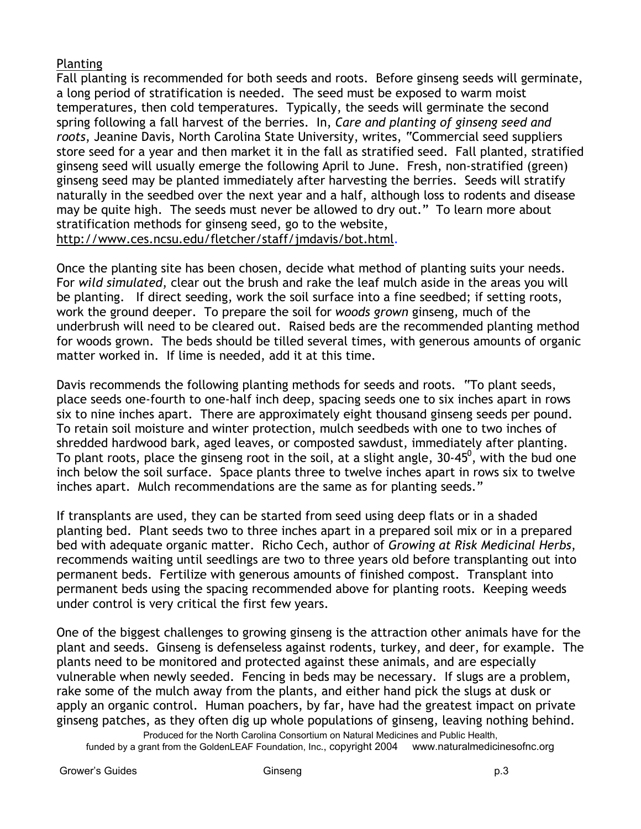#### Planting

Fall planting is recommended for both seeds and roots. Before ginseng seeds will germinate, a long period of stratification is needed. The seed must be exposed to warm moist temperatures, then cold temperatures. Typically, the seeds will germinate the second spring following a fall harvest of the berries. In, *Care and planting of ginseng seed and roots*, Jeanine Davis, North Carolina State University, writes, "Commercial seed suppliers store seed for a year and then market it in the fall as stratified seed. Fall planted, stratified ginseng seed will usually emerge the following April to June. Fresh, non-stratified (green) ginseng seed may be planted immediately after harvesting the berries. Seeds will stratify naturally in the seedbed over the next year and a half, although loss to rodents and disease may be quite high. The seeds must never be allowed to dry out." To learn more about stratification methods for ginseng seed, go to the website, http://www.ces.ncsu.edu/fletcher/staff/jmdavis/bot.html.

Once the planting site has been chosen, decide what method of planting suits your needs. For *wild simulated*, clear out the brush and rake the leaf mulch aside in the areas you will be planting. If direct seeding, work the soil surface into a fine seedbed; if setting roots, work the ground deeper. To prepare the soil for *woods grown* ginseng, much of the underbrush will need to be cleared out. Raised beds are the recommended planting method for woods grown. The beds should be tilled several times, with generous amounts of organic matter worked in. If lime is needed, add it at this time.

Davis recommends the following planting methods for seeds and roots. "To plant seeds, place seeds one-fourth to one-half inch deep, spacing seeds one to six inches apart in rows six to nine inches apart. There are approximately eight thousand ginseng seeds per pound. To retain soil moisture and winter protection, mulch seedbeds with one to two inches of shredded hardwood bark, aged leaves, or composted sawdust, immediately after planting. To plant roots, place the ginseng root in the soil, at a slight angle, 30-45<sup>0</sup>, with the bud one inch below the soil surface. Space plants three to twelve inches apart in rows six to twelve inches apart. Mulch recommendations are the same as for planting seeds."

If transplants are used, they can be started from seed using deep flats or in a shaded planting bed. Plant seeds two to three inches apart in a prepared soil mix or in a prepared bed with adequate organic matter. Richo Cech, author of *Growing at Risk Medicinal Herbs*, recommends waiting until seedlings are two to three years old before transplanting out into permanent beds. Fertilize with generous amounts of finished compost. Transplant into permanent beds using the spacing recommended above for planting roots. Keeping weeds under control is very critical the first few years.

One of the biggest challenges to growing ginseng is the attraction other animals have for the plant and seeds. Ginseng is defenseless against rodents, turkey, and deer, for example. The plants need to be monitored and protected against these animals, and are especially vulnerable when newly seeded. Fencing in beds may be necessary. If slugs are a problem, rake some of the mulch away from the plants, and either hand pick the slugs at dusk or apply an organic control. Human poachers, by far, have had the greatest impact on private ginseng patches, as they often dig up whole populations of ginseng, leaving nothing behind.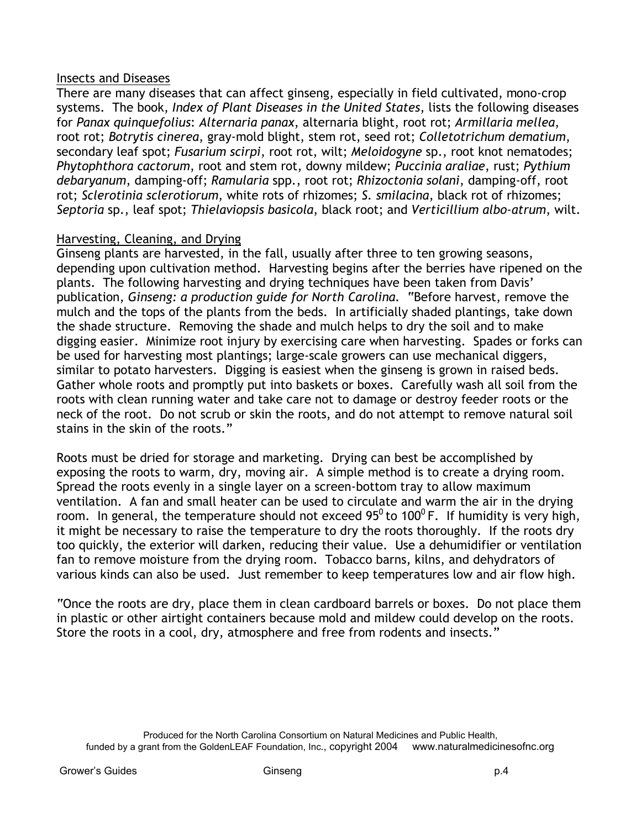#### Insects and Diseases

There are many diseases that can affect ginseng, especially in field cultivated, mono-crop systems. The book, *Index of Plant Diseases in the United States*, lists the following diseases for *Panax quinquefolius*: *Alternaria panax*, alternaria blight, root rot; *Armillaria mellea*, root rot; *Botrytis cinerea*, gray-mold blight, stem rot, seed rot; *Colletotrichum dematium*, secondary leaf spot; *Fusarium scirpi*, root rot, wilt; *Meloidogyne* sp., root knot nematodes; *Phytophthora cactorum*, root and stem rot, downy mildew; *Puccinia araliae*, rust; *Pythium debaryanum*, damping-off; *Ramularia* spp., root rot; *Rhizoctonia solani*, damping-off, root rot; *Sclerotinia sclerotiorum*, white rots of rhizomes; *S. smilacina*, black rot of rhizomes; *Septoria* sp., leaf spot; *Thielaviopsis basicola*, black root; and *Verticillium albo-atrum*, wilt.

#### Harvesting, Cleaning, and Drying

Ginseng plants are harvested, in the fall, usually after three to ten growing seasons, depending upon cultivation method. Harvesting begins after the berries have ripened on the plants. The following harvesting and drying techniques have been taken from Davis' publication, *Ginseng: a production guide for North Carolina*. "Before harvest, remove the mulch and the tops of the plants from the beds. In artificially shaded plantings, take down the shade structure. Removing the shade and mulch helps to dry the soil and to make digging easier. Minimize root injury by exercising care when harvesting. Spades or forks can be used for harvesting most plantings; large-scale growers can use mechanical diggers, similar to potato harvesters. Digging is easiest when the ginseng is grown in raised beds. Gather whole roots and promptly put into baskets or boxes. Carefully wash all soil from the roots with clean running water and take care not to damage or destroy feeder roots or the neck of the root. Do not scrub or skin the roots, and do not attempt to remove natural soil stains in the skin of the roots."

Roots must be dried for storage and marketing. Drying can best be accomplished by exposing the roots to warm, dry, moving air. A simple method is to create a drying room. Spread the roots evenly in a single layer on a screen-bottom tray to allow maximum ventilation. A fan and small heater can be used to circulate and warm the air in the drying room. In general, the temperature should not exceed  $95^{\circ}$  to 100<sup>°</sup> F. If humidity is very high, it might be necessary to raise the temperature to dry the roots thoroughly. If the roots dry too quickly, the exterior will darken, reducing their value. Use a dehumidifier or ventilation fan to remove moisture from the drying room. Tobacco barns, kilns, and dehydrators of various kinds can also be used. Just remember to keep temperatures low and air flow high.

"Once the roots are dry, place them in clean cardboard barrels or boxes. Do not place them in plastic or other airtight containers because mold and mildew could develop on the roots. Store the roots in a cool, dry, atmosphere and free from rodents and insects."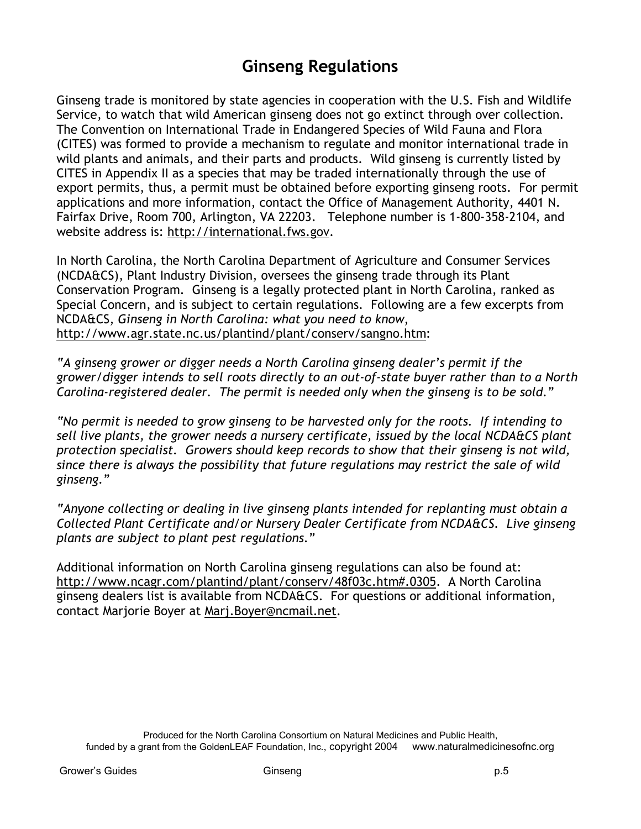## **Ginseng Regulations**

Ginseng trade is monitored by state agencies in cooperation with the U.S. Fish and Wildlife Service, to watch that wild American ginseng does not go extinct through over collection. The Convention on International Trade in Endangered Species of Wild Fauna and Flora (CITES) was formed to provide a mechanism to regulate and monitor international trade in wild plants and animals, and their parts and products. Wild ginseng is currently listed by CITES in Appendix II as a species that may be traded internationally through the use of export permits, thus, a permit must be obtained before exporting ginseng roots. For permit applications and more information, contact the Office of Management Authority, 4401 N. Fairfax Drive, Room 700, Arlington, VA 22203. Telephone number is 1-800-358-2104, and website address is: http://international.fws.gov.

In North Carolina, the North Carolina Department of Agriculture and Consumer Services (NCDA&CS), Plant Industry Division, oversees the ginseng trade through its Plant Conservation Program. Ginseng is a legally protected plant in North Carolina, ranked as Special Concern, and is subject to certain regulations. Following are a few excerpts from NCDA&CS, *Ginseng in North Carolina: what you need to know*, http://www.agr.state.nc.us/plantind/plant/conserv/sangno.htm:

*"A ginseng grower or digger needs a North Carolina ginseng dealer's permit if the grower/digger intends to sell roots directly to an out-of-state buyer rather than to a North Carolina-registered dealer. The permit is needed only when the ginseng is to be sold."*

*"No permit is needed to grow ginseng to be harvested only for the roots. If intending to sell live plants, the grower needs a nursery certificate, issued by the local NCDA&CS plant protection specialist. Growers should keep records to show that their ginseng is not wild, since there is always the possibility that future regulations may restrict the sale of wild ginseng."*

*"Anyone collecting or dealing in live ginseng plants intended for replanting must obtain a Collected Plant Certificate and/or Nursery Dealer Certificate from NCDA&CS. Live ginseng plants are subject to plant pest regulations."*

Additional information on North Carolina ginseng regulations can also be found at: http://www.ncagr.com/plantind/plant/conserv/48f03c.htm#.0305. A North Carolina ginseng dealers list is available from NCDA&CS. For questions or additional information, contact Marjorie Boyer at Marj.Boyer@ncmail.net.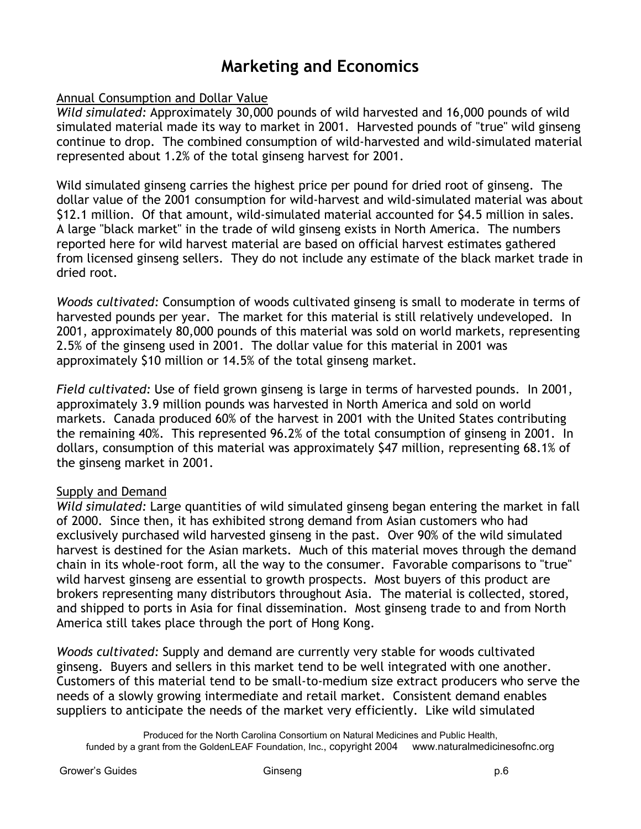## **Marketing and Economics**

#### Annual Consumption and Dollar Value

*Wild simulated:* Approximately 30,000 pounds of wild harvested and 16,000 pounds of wild simulated material made its way to market in 2001. Harvested pounds of "true" wild ginseng continue to drop. The combined consumption of wild-harvested and wild-simulated material represented about 1.2% of the total ginseng harvest for 2001.

Wild simulated ginseng carries the highest price per pound for dried root of ginseng. The dollar value of the 2001 consumption for wild-harvest and wild-simulated material was about \$12.1 million. Of that amount, wild-simulated material accounted for \$4.5 million in sales. A large "black market" in the trade of wild ginseng exists in North America. The numbers reported here for wild harvest material are based on official harvest estimates gathered from licensed ginseng sellers. They do not include any estimate of the black market trade in dried root.

*Woods cultivated:* Consumption of woods cultivated ginseng is small to moderate in terms of harvested pounds per year. The market for this material is still relatively undeveloped. In 2001, approximately 80,000 pounds of this material was sold on world markets, representing 2.5% of the ginseng used in 2001. The dollar value for this material in 2001 was approximately \$10 million or 14.5% of the total ginseng market.

*Field cultivated:* Use of field grown ginseng is large in terms of harvested pounds. In 2001, approximately 3.9 million pounds was harvested in North America and sold on world markets. Canada produced 60% of the harvest in 2001 with the United States contributing the remaining 40%. This represented 96.2% of the total consumption of ginseng in 2001. In dollars, consumption of this material was approximately \$47 million, representing 68.1% of the ginseng market in 2001.

#### Supply and Demand

*Wild simulated:* Large quantities of wild simulated ginseng began entering the market in fall of 2000. Since then, it has exhibited strong demand from Asian customers who had exclusively purchased wild harvested ginseng in the past. Over 90% of the wild simulated harvest is destined for the Asian markets. Much of this material moves through the demand chain in its whole-root form, all the way to the consumer. Favorable comparisons to "true" wild harvest ginseng are essential to growth prospects. Most buyers of this product are brokers representing many distributors throughout Asia. The material is collected, stored, and shipped to ports in Asia for final dissemination. Most ginseng trade to and from North America still takes place through the port of Hong Kong.

*Woods cultivated:* Supply and demand are currently very stable for woods cultivated ginseng. Buyers and sellers in this market tend to be well integrated with one another. Customers of this material tend to be small-to-medium size extract producers who serve the needs of a slowly growing intermediate and retail market. Consistent demand enables suppliers to anticipate the needs of the market very efficiently. Like wild simulated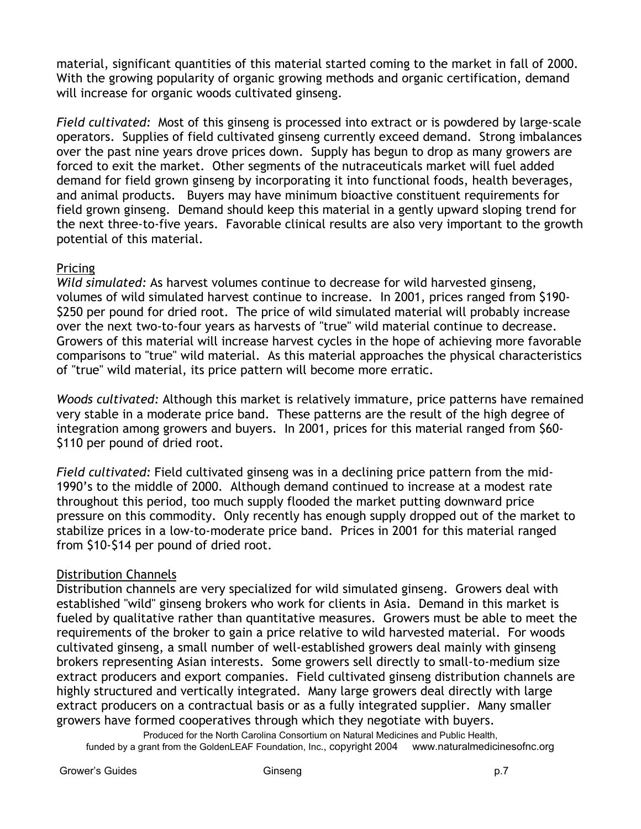material, significant quantities of this material started coming to the market in fall of 2000. With the growing popularity of organic growing methods and organic certification, demand will increase for organic woods cultivated ginseng.

*Field cultivated:* Most of this ginseng is processed into extract or is powdered by large-scale operators. Supplies of field cultivated ginseng currently exceed demand. Strong imbalances over the past nine years drove prices down. Supply has begun to drop as many growers are forced to exit the market. Other segments of the nutraceuticals market will fuel added demand for field grown ginseng by incorporating it into functional foods, health beverages, and animal products. Buyers may have minimum bioactive constituent requirements for field grown ginseng. Demand should keep this material in a gently upward sloping trend for the next three-to-five years. Favorable clinical results are also very important to the growth potential of this material.

#### Pricing

*Wild simulated:* As harvest volumes continue to decrease for wild harvested ginseng, volumes of wild simulated harvest continue to increase. In 2001, prices ranged from \$190- \$250 per pound for dried root. The price of wild simulated material will probably increase over the next two-to-four years as harvests of "true" wild material continue to decrease. Growers of this material will increase harvest cycles in the hope of achieving more favorable comparisons to "true" wild material. As this material approaches the physical characteristics of "true" wild material, its price pattern will become more erratic.

*Woods cultivated:* Although this market is relatively immature, price patterns have remained very stable in a moderate price band. These patterns are the result of the high degree of integration among growers and buyers. In 2001, prices for this material ranged from \$60- \$110 per pound of dried root.

*Field cultivated:* Field cultivated ginseng was in a declining price pattern from the mid-1990's to the middle of 2000. Although demand continued to increase at a modest rate throughout this period, too much supply flooded the market putting downward price pressure on this commodity. Only recently has enough supply dropped out of the market to stabilize prices in a low-to-moderate price band. Prices in 2001 for this material ranged from \$10-\$14 per pound of dried root.

#### Distribution Channels

Distribution channels are very specialized for wild simulated ginseng. Growers deal with established "wild" ginseng brokers who work for clients in Asia. Demand in this market is fueled by qualitative rather than quantitative measures. Growers must be able to meet the requirements of the broker to gain a price relative to wild harvested material. For woods cultivated ginseng, a small number of well-established growers deal mainly with ginseng brokers representing Asian interests. Some growers sell directly to small-to-medium size extract producers and export companies. Field cultivated ginseng distribution channels are highly structured and vertically integrated. Many large growers deal directly with large extract producers on a contractual basis or as a fully integrated supplier. Many smaller growers have formed cooperatives through which they negotiate with buyers.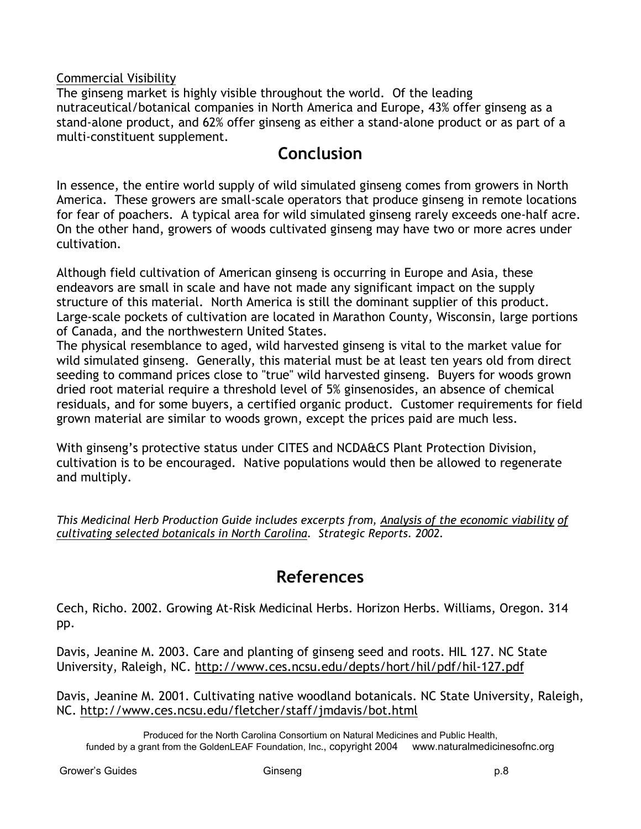#### Commercial Visibility

The ginseng market is highly visible throughout the world. Of the leading nutraceutical/botanical companies in North America and Europe, 43% offer ginseng as a stand-alone product, and 62% offer ginseng as either a stand-alone product or as part of a multi-constituent supplement.

## **Conclusion**

In essence, the entire world supply of wild simulated ginseng comes from growers in North America. These growers are small-scale operators that produce ginseng in remote locations for fear of poachers. A typical area for wild simulated ginseng rarely exceeds one-half acre. On the other hand, growers of woods cultivated ginseng may have two or more acres under cultivation.

Although field cultivation of American ginseng is occurring in Europe and Asia, these endeavors are small in scale and have not made any significant impact on the supply structure of this material. North America is still the dominant supplier of this product. Large-scale pockets of cultivation are located in Marathon County, Wisconsin, large portions of Canada, and the northwestern United States.

The physical resemblance to aged, wild harvested ginseng is vital to the market value for wild simulated ginseng. Generally, this material must be at least ten years old from direct seeding to command prices close to "true" wild harvested ginseng. Buyers for woods grown dried root material require a threshold level of 5% ginsenosides, an absence of chemical residuals, and for some buyers, a certified organic product. Customer requirements for field grown material are similar to woods grown, except the prices paid are much less.

With ginseng's protective status under CITES and NCDA&CS Plant Protection Division, cultivation is to be encouraged. Native populations would then be allowed to regenerate and multiply.

*This Medicinal Herb Production Guide includes excerpts from, Analysis of the economic viability of cultivating selected botanicals in North Carolina. Strategic Reports. 2002.*

## **References**

Cech, Richo. 2002. Growing At-Risk Medicinal Herbs. Horizon Herbs. Williams, Oregon. 314 pp.

Davis, Jeanine M. 2003. Care and planting of ginseng seed and roots. HIL 127. NC State University, Raleigh, NC. http://www.ces.ncsu.edu/depts/hort/hil/pdf/hil-127.pdf

Davis, Jeanine M. 2001. Cultivating native woodland botanicals. NC State University, Raleigh, NC. http://www.ces.ncsu.edu/fletcher/staff/jmdavis/bot.html

Produced for the North Carolina Consortium on Natural Medicines and Public Health, funded by a grant from the GoldenLEAF Foundation, Inc., copyright 2004 www.naturalmedicinesofnc.org

Grower's Guides **Ginseng p.8** Ginseng p.8